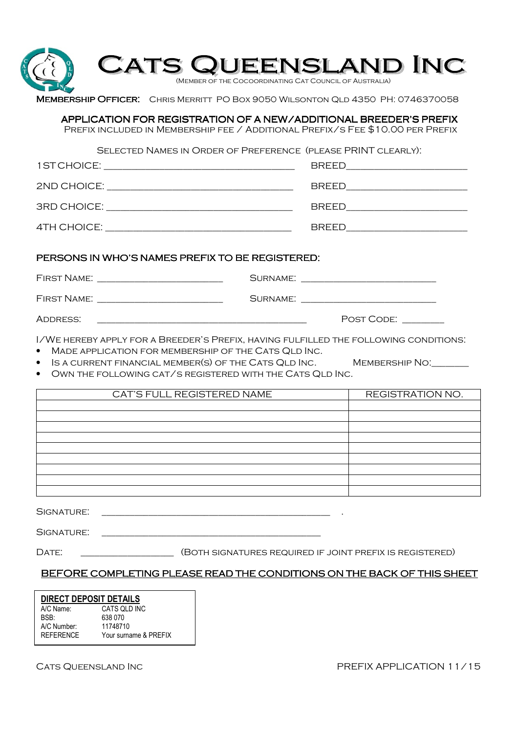| <b>MEMBERSHIP OFFICER:</b> CHRIS MERRITT PO BOX 9050 WILSONTON QLD 4350 PH: 0746370058 | <b>CATS QUEENSLAND INC</b><br>(MEMBER OF THE COCOORDINATING CAT COUNCIL OF AUSTRALIA)                                                               |                                  |
|----------------------------------------------------------------------------------------|-----------------------------------------------------------------------------------------------------------------------------------------------------|----------------------------------|
|                                                                                        | APPLICATION FOR REGISTRATION OF A NEW/ADDITIONAL BREEDER'S PREFIX<br>PREFIX INCLUDED IN MEMBERSHIP FEE / ADDITIONAL PREFIX/S FEE \$10.00 PER PREFIX |                                  |
|                                                                                        | SELECTED NAMES IN ORDER OF PREFERENCE (PLEASE PRINT CLEARLY):                                                                                       |                                  |
|                                                                                        |                                                                                                                                                     | BREED___________________________ |
|                                                                                        |                                                                                                                                                     | BREED__________________________  |
|                                                                                        |                                                                                                                                                     | BREED_________________________   |
| FIRST NAME: _______________________________                                            |                                                                                                                                                     |                                  |
|                                                                                        |                                                                                                                                                     |                                  |
| ADDRESS:                                                                               | <u> 1980 - Johann Barn, mars ann an t-Amhain ann an t-Amhain ann an t-Amhain ann an t-A</u>                                                         | POST CODE: _______               |
| I/WE HEREBY APPLY FOR A BREEDER'S PREFIX, HAVING FULFILLED THE FOLLOWING CONDITIONS.   | MADE APPLICATION FOR MEMBERSHIP OF THE CATS QLD INC.                                                                                                |                                  |
|                                                                                        | IS A CURRENT FINANCIAL MEMBER(S) OF THE CATS QLD INC. MEMBERSHIP NO: UNIT<br>OWN THE FOLLOWING CAT/S REGISTERED WITH THE CATS QLD INC.              |                                  |
|                                                                                        | CAT'S FULL REGISTERED NAME                                                                                                                          | REGISTRATION NO.                 |
|                                                                                        |                                                                                                                                                     |                                  |
|                                                                                        |                                                                                                                                                     |                                  |
|                                                                                        |                                                                                                                                                     |                                  |
|                                                                                        |                                                                                                                                                     |                                  |
|                                                                                        |                                                                                                                                                     |                                  |
| SIGNATURE:                                                                             |                                                                                                                                                     |                                  |
| SIGNATURE:                                                                             |                                                                                                                                                     |                                  |
| DATE:                                                                                  | (BOTH SIGNATURES REQUIRED IF JOINT PREFIX IS REGISTERED)                                                                                            |                                  |
|                                                                                        | BEFORE COMPLETING PLEASE READ THE CONDITIONS ON THE BACK OF THIS SHEET                                                                              |                                  |

CATS QUEENSLAND INC **PREFIX APPLICATION 11/15**